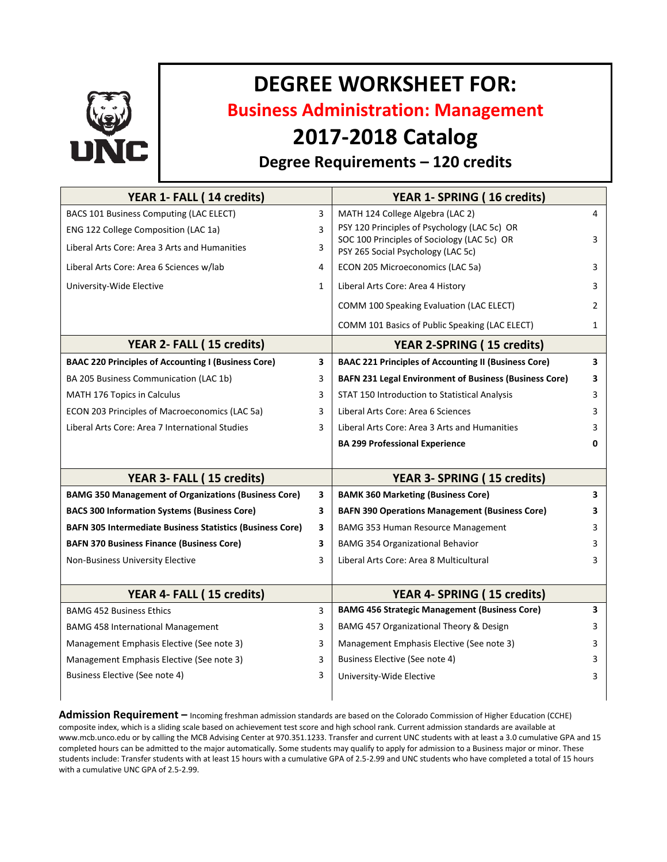

# **DEGREE WORKSHEET FOR:**

**Business Administration: Management**

## **2017-2018 Catalog**

### **Degree Requirements – 120 credits**

| YEAR 1- FALL (14 credits)                                        |              | YEAR 1- SPRING (16 credits)                                                       |                         |
|------------------------------------------------------------------|--------------|-----------------------------------------------------------------------------------|-------------------------|
| BACS 101 Business Computing (LAC ELECT)                          | 3            | MATH 124 College Algebra (LAC 2)                                                  | $\overline{4}$          |
| ENG 122 College Composition (LAC 1a)                             | 3            | PSY 120 Principles of Psychology (LAC 5c) OR                                      |                         |
| Liberal Arts Core: Area 3 Arts and Humanities                    | 3            | SOC 100 Principles of Sociology (LAC 5c) OR<br>PSY 265 Social Psychology (LAC 5c) | 3                       |
| Liberal Arts Core: Area 6 Sciences w/lab                         | 4            | ECON 205 Microeconomics (LAC 5a)                                                  | 3                       |
| University-Wide Elective                                         | $\mathbf{1}$ | Liberal Arts Core: Area 4 History                                                 | 3                       |
|                                                                  |              | COMM 100 Speaking Evaluation (LAC ELECT)                                          | $\overline{2}$          |
|                                                                  |              | COMM 101 Basics of Public Speaking (LAC ELECT)                                    | $\mathbf{1}$            |
| YEAR 2- FALL (15 credits)                                        |              | <b>YEAR 2-SPRING (15 credits)</b>                                                 |                         |
| <b>BAAC 220 Principles of Accounting I (Business Core)</b>       | 3            | <b>BAAC 221 Principles of Accounting II (Business Core)</b>                       | $\overline{\mathbf{3}}$ |
| BA 205 Business Communication (LAC 1b)                           | 3            | <b>BAFN 231 Legal Environment of Business (Business Core)</b>                     | 3                       |
| MATH 176 Topics in Calculus                                      | 3            | STAT 150 Introduction to Statistical Analysis                                     | 3                       |
| ECON 203 Principles of Macroeconomics (LAC 5a)                   | 3            | Liberal Arts Core: Area 6 Sciences                                                | 3                       |
| Liberal Arts Core: Area 7 International Studies                  | 3            | Liberal Arts Core: Area 3 Arts and Humanities                                     | 3                       |
|                                                                  |              | <b>BA 299 Professional Experience</b>                                             | $\mathbf{0}$            |
|                                                                  |              |                                                                                   |                         |
| YEAR 3- FALL (15 credits)                                        |              | YEAR 3- SPRING (15 credits)                                                       |                         |
| <b>BAMG 350 Management of Organizations (Business Core)</b>      | 3            | <b>BAMK 360 Marketing (Business Core)</b>                                         | 3                       |
| <b>BACS 300 Information Systems (Business Core)</b>              | 3            | <b>BAFN 390 Operations Management (Business Core)</b>                             | 3                       |
| <b>BAFN 305 Intermediate Business Statistics (Business Core)</b> | 3            | BAMG 353 Human Resource Management                                                | 3                       |
| <b>BAFN 370 Business Finance (Business Core)</b>                 | 3            | <b>BAMG 354 Organizational Behavior</b>                                           | 3                       |
| Non-Business University Elective                                 | 3            | Liberal Arts Core: Area 8 Multicultural                                           | 3                       |
|                                                                  |              |                                                                                   |                         |
| YEAR 4- FALL (15 credits)                                        |              | YEAR 4- SPRING (15 credits)                                                       |                         |
| <b>BAMG 452 Business Ethics</b>                                  | 3            | <b>BAMG 456 Strategic Management (Business Core)</b>                              | 3                       |
| <b>BAMG 458 International Management</b>                         | 3            | BAMG 457 Organizational Theory & Design                                           | 3                       |
| Management Emphasis Elective (See note 3)                        | 3            | Management Emphasis Elective (See note 3)                                         | 3                       |
| Management Emphasis Elective (See note 3)                        | 3            | Business Elective (See note 4)                                                    | 3                       |
| Business Elective (See note 4)                                   | 3            | University-Wide Elective                                                          | 3                       |
|                                                                  |              |                                                                                   |                         |

**Admission Requirement –** Incoming freshman admission standards are based on the Colorado Commission of Higher Education (CCHE) composite index, which is a sliding scale based on achievement test score and high school rank. Current admission standards are available at www.mcb.unco.edu or by calling the MCB Advising Center at 970.351.1233. Transfer and current UNC students with at least a 3.0 cumulative GPA and 15 completed hours can be admitted to the major automatically. Some students may qualify to apply for admission to a Business major or minor. These students include: Transfer students with at least 15 hours with a cumulative GPA of 2.5-2.99 and UNC students who have completed a total of 15 hours with a cumulative UNC GPA of 2.5-2.99.